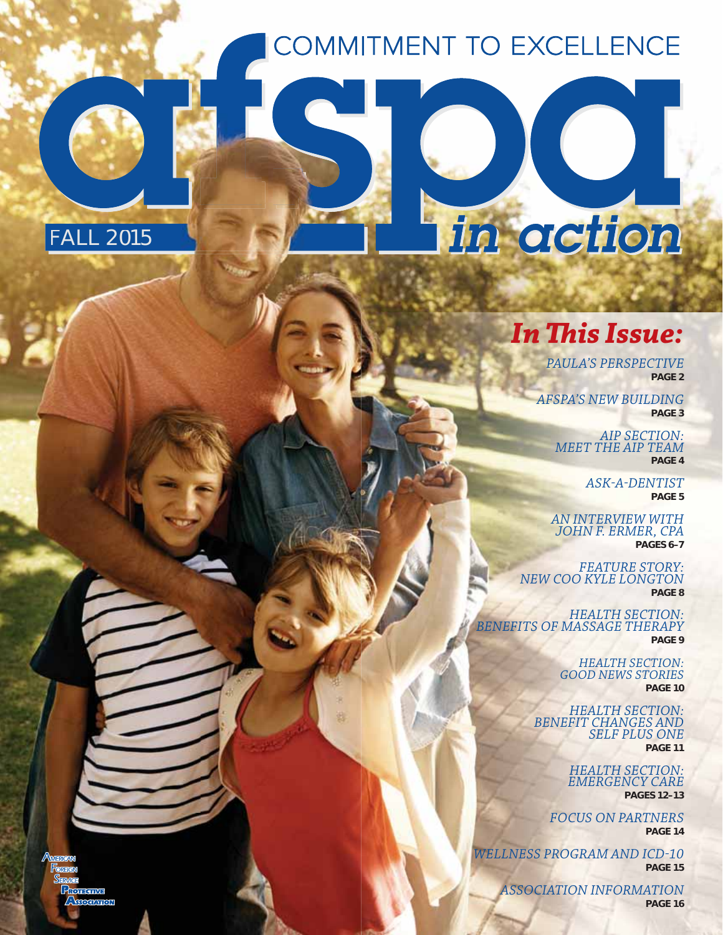# COMMITMENT TO EXCELLENCE





in action

*PAULA'S PERSPECTIVE* **PAGE 2**

*AFSPA'S NEW BUILDING* **PAGE 3**

> *AIP SECTION: MEET THE AIP TEAM* **PAGE 4**

> > *ASK-A-DENTIST* **PAGE 5**

*AN INTERVIEW WITH JOHN F. ERMER, CPA* **PAGES 6–7**

*FEATURE STORY: NEW COO KYLE LONGTON* **PAGE 8**

*HEALTH SECTION: BENEFITS OF MASSAGE THERAPY* **PAGE 9**

> *HEALTH SECTION: GOOD NEWS STORIES* **PAGE 10**

*HEALTH SECTION: BENEFIT CHANGES AND SELF PLUS ONE* **PAGE 11**

> *HEALTH SECTION: EMERGENCY CARE* **PAGES 12–13**

*FOCUS ON PARTNERS* **PAGE 14**

*WELLNESS PROGRAM AND ICD-10* **PAGE 15**

> *ASSOCIATION INFORMATION* **PAGE 16**

**OLIGINE SOCIATION**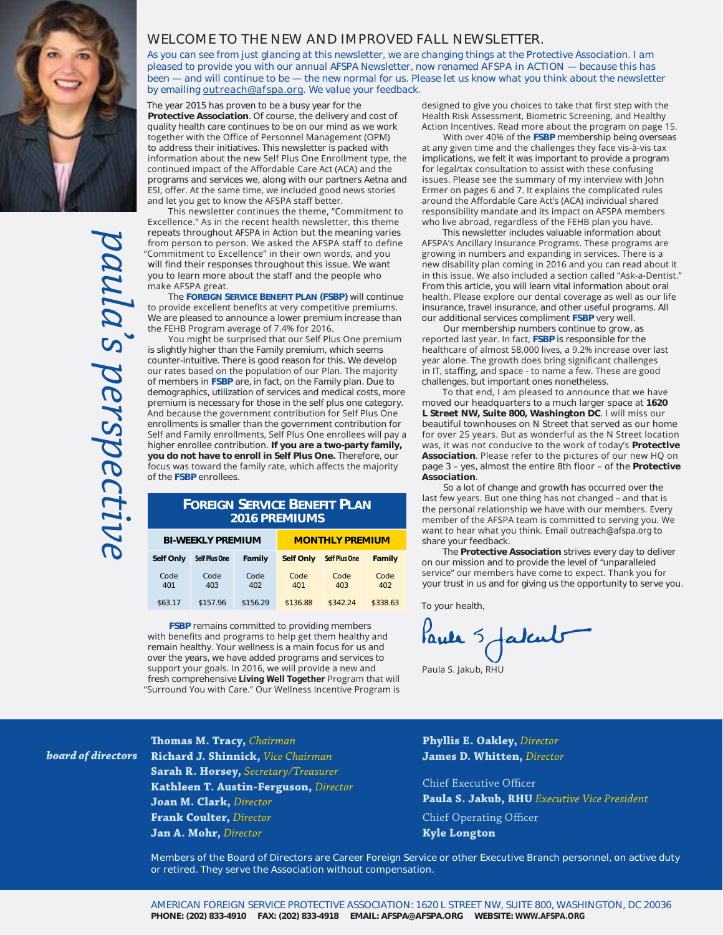

*paula's perspective* aula's perspectiv

#### **WELCOME TO THE NEW AND IMPROVED FALL NEWSLETTER.**

*As you can see from just glancing at this newsletter, we are changing things at the Protective Association. I am pleased to provide you with our annual AFSPA Newsletter, now renamed AFSPA in ACTION — because this has been — and will continue to be — the new normal for us. Please let us know what you think about the newsletter by emailing outreach@afspa.org. We value your feedback.*

The year 2015 has proven to be a busy year for the **Protective Association**. Of course, the delivery and cost of quality health care continues to be on our mind as we work together with the Office of Personnel Management (OPM) to address their initiatives. This newsletter is packed with information about the new Self Plus One Enrollment type, the continued impact of the Affordable Care Act (ACA) and the programs and services we, along with our partners Aetna and ESI, offer. At the same time, we included good news stories and let you get to know the AFSPA staff better.

This newsletter continues the theme, "Commitment to Excellence." As in the recent health newsletter, this theme repeats throughout *AFSPA in Action* but the meaning varies from person to person. We asked the AFSPA staff to define "Commitment to Excellence" in their own words, and you will find their responses throughout this issue. We want you to learn more about the staff and the people who make AFSPA great.

The **FOREIGN SERVICE BENEFIT PLAN (FSBP)** will continue to provide excellent benefits at very competitive premiums. We are pleased to announce a lower premium increase than the FEHB Program average of 7.4% for 2016.

You might be surprised that our Self Plus One premium is slightly higher than the Family premium, which seems counter-intuitive. There is good reason for this. We develop our rates based on the population of our Plan. The majority of members in **FSBP** are, in fact, on the Family plan. Due to demographics, utilization of services and medical costs, more premium is necessary for those in the self plus one category. And because the government contribution for Self Plus One enrollments is smaller than the government contribution for Self and Family enrollments, Self Plus One enrollees will pay a higher enrollee contribution. **If you are a two-party family, you do not have to enroll in Self Plus One.** Therefore, our focus was toward the family rate, which affects the majority of the **FSBP** enrollees.

#### **FOREIGN SERVICE BENEFIT PLAN 2016 PREMIUMS**

| <b>BI-WEEKLY PREMIUM</b> |               |             | <b>MONTHLY PREMIUM</b> |                      |             |
|--------------------------|---------------|-------------|------------------------|----------------------|-------------|
| Self Only                | Self Plus One | Family      | <b>Self Only</b>       | <b>Self Plus One</b> | Family      |
| Code<br>401              | Code<br>403   | Code<br>402 | Code<br>401            | Code<br>403          | Code<br>402 |
| \$63.17                  | \$157.96      | \$156.29    | \$136.88               | \$342.24             | \$338.63    |

**FSBP** remains committed to providing members with benefits and programs to help get them healthy and remain healthy. Your wellness is a main focus for us and over the years, we have added programs and services to support your goals. In 2016, we will provide a new and fresh comprehensive *Living Well Together* Program that will "Surround You with Care." Our Wellness Incentive Program is designed to give you choices to take that first step with the Health Risk Assessment, Biometric Screening, and Healthy Action Incentives. Read more about the program on page 15.

With over 40% of the FSBP membership being overseas at any given time and the challenges they face vis-à-vis tax implications, we felt it was important to provide a program for legal/tax consultation to assist with these confusing issues. Please see the summary of my interview with John Ermer on pages 6 and 7. It explains the complicated rules around the Affordable Care Act's (ACA) individual shared responsibility mandate and its impact on AFSPA members who live abroad, regardless of the FEHB plan you have.

This newsletter includes valuable information about AFSPA's Ancillary Insurance Programs. These programs are growing in numbers and expanding in services. There is a new disability plan coming in 2016 and you can read about it in this issue. We also included a section called "Ask-a-Dentist." From this article, you will learn vital information about oral health. Please explore our dental coverage as well as our life insurance, travel insurance, and other useful programs. All our additional services compliment **FSBP** very well.

Our membership numbers continue to grow, as reported last year. In fact, FSBP is responsible for the healthcare of almost 58,000 lives, a 9.2% increase over last year alone. The growth does bring significant challenges in IT, staffing, and space - to name a few. These are good challenges, but important ones nonetheless.

To that end, I am pleased to announce that we have moved our headquarters to a much larger space at **1620**  L Street NW, Suite 800, Washington DC. I will miss our beautiful townhouses on N Street that served as our home for over 25 years. But as wonderful as the N Street location was, it was not conducive to the work of today's Protective Association. Please refer to the pictures of our new HQ on page 3 – yes, almost the entire 8th floor – of the **Protective Association**.

So a lot of change and growth has occurred over the last few years. But one thing has not changed - and that is the personal relationship we have with our members. Every member of the AFSPA team is committed to serving you. We want to hear what you think. Email outreach@afspa.org to share your feedback.

The **Protective Association** strives every day to deliver on our mission and to provide the level of "unparalleled service" our members have come to expect. Thank you for your trust in us and for giving us the opportunity to serve you.

To your health,

Pank 5 fatcul

Paula S. Jakub, RHU

*board of directors*

**Thomas M. Tracy,** *Chairman* **Richard J. Shinnick,** *Vice Chairman* **Sarah R. Horsey,** *Secretary/Treasurer* **Kathleen T. Austin-Ferguson,** *Director* **Joan M. Clark,** *Director* **Frank Coulter,** *Director*  **Jan A. Mohr,** *Director*

**Phyllis E. Oakley,** *Director*  **James D. Whitten,** *Director*

Chief Executive Officer **Paula S. Jakub, RHU** *Executive Vice President* Chief Operating Officer

**Kyle Longton**

**Members of the Board of Directors are Career Foreign Service or other Executive Branch personnel, on active duty or retired. They serve the Association without compensation.**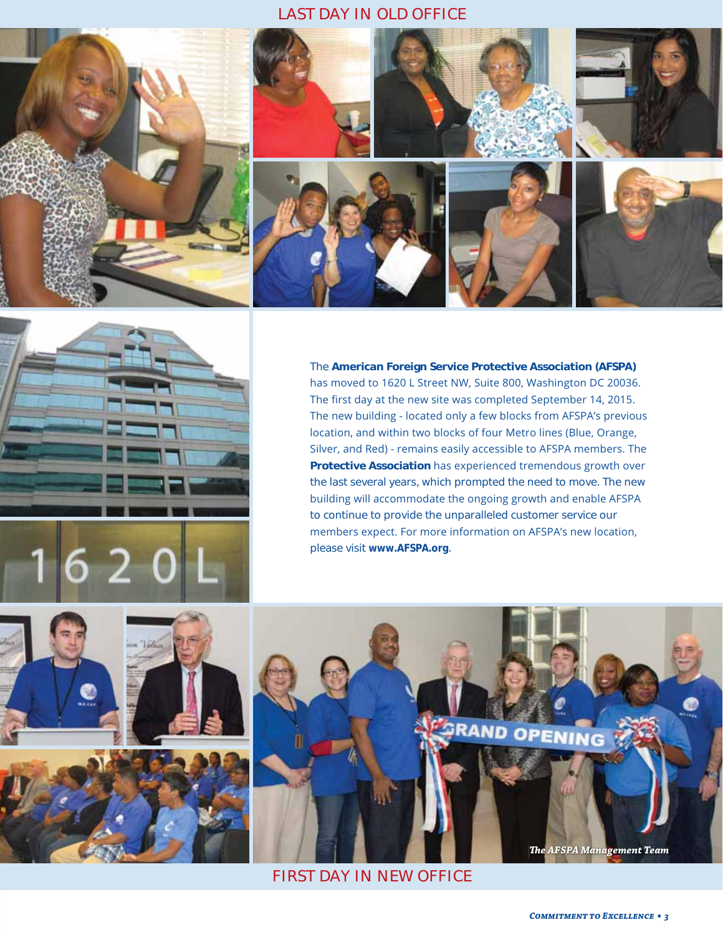### *LAST DAY IN OLD OFFICE*







The **American Foreign Service Protective Association (AFSPA)** has moved to 1620 L Street NW, Suite 800, Washington DC 20036. The first day at the new site was completed September 14, 2015. The new building - located only a few blocks from AFSPA's previous location, and within two blocks of four Metro lines (Blue, Orange, Silver, and Red) - remains easily accessible to AFSPA members. The Protective Association has experienced tremendous growth over the last several years, which prompted the need to move. The new building will accommodate the ongoing growth and enable AFSPA to continue to provide the unparalleled customer service our members expect. For more information on AFSPA's new location, please visit *www.AFSPA.org*.





*FIRST DAY IN NEW OFFICE*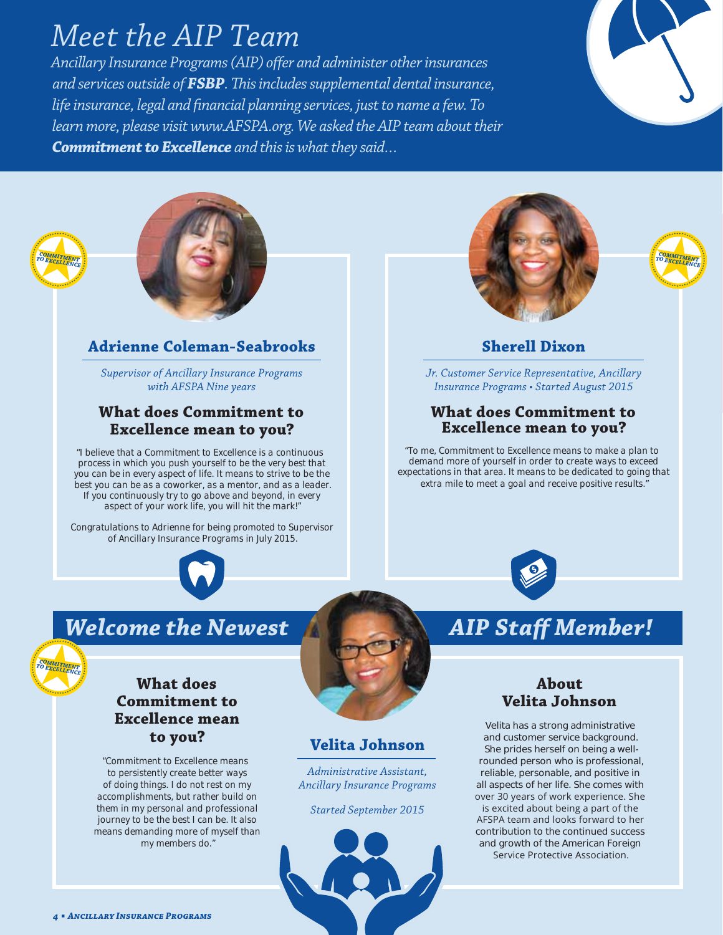# *Meet the AIP Team*

*Ancillary Insurance Programs (AIP) offer and administer other insurances and services outside of FSBP. This includes supplemental dental insurance, life insurance, legal and financial planning services, just to name a few. To learn more, please visit www.AFSPA.org. We asked the AIP team about their Commitment to Excellence and this is what they said…*







# **Adrienne Coleman-Seabrooks**

*Supervisor of Ancillary Insurance Programs with AFSPA Nine years*

### **What does Commitment to Excellence mean to you?**

*"I believe that a Commitment to Excellence is a continuous process in which you push yourself to be the very best that you can be in every aspect of life. It means to strive to be the best you can be as a coworker, as a mentor, and as a leader. If you continuously try to go above and beyond, in every aspect of your work life, you will hit the mark!"*

*Congratulations to Adrienne for being promoted to Supervisor of Ancillary Insurance Programs in July 2015.*







# **Sherell Dixon**

*Jr. Customer Service Representative, Ancillary Insurance Programs • Started August 2015*

### **What does Commitment to Excellence mean to you?**

*"To me, Commitment to Excellence means to make a plan to demand more of yourself in order to create ways to exceed expectations in that area. It means to be dedicated to going that extra mile to meet a goal and receive positive results."*



# *Welcome the Newest AIP Staff Member!* يعتنا

# **What does Commitment to Excellence mean to you?**

*"Commitment to Excellence means to persistently create better ways of doing things. I do not rest on my accomplishments, but rather build on them in my personal and professional journey to be the best I can be. It also means demanding more of myself than my members do."*



# **Velita Johnson**

*Administrative Assistant, Ancillary Insurance Programs*

*Started September 2015*



# **About Velita Johnson**

Velita has a strong administrative and customer service background. She prides herself on being a wellrounded person who is professional, reliable, personable, and positive in all aspects of her life. She comes with over 30 years of work experience. She is excited about being a part of the AFSPA team and looks forward to her contribution to the continued success and growth of the American Foreign Service Protective Association.

٠

 $x^*$ *<u>Change</u>* 

× **ANARAS** *COMMITMENT TO EXCELLENCE*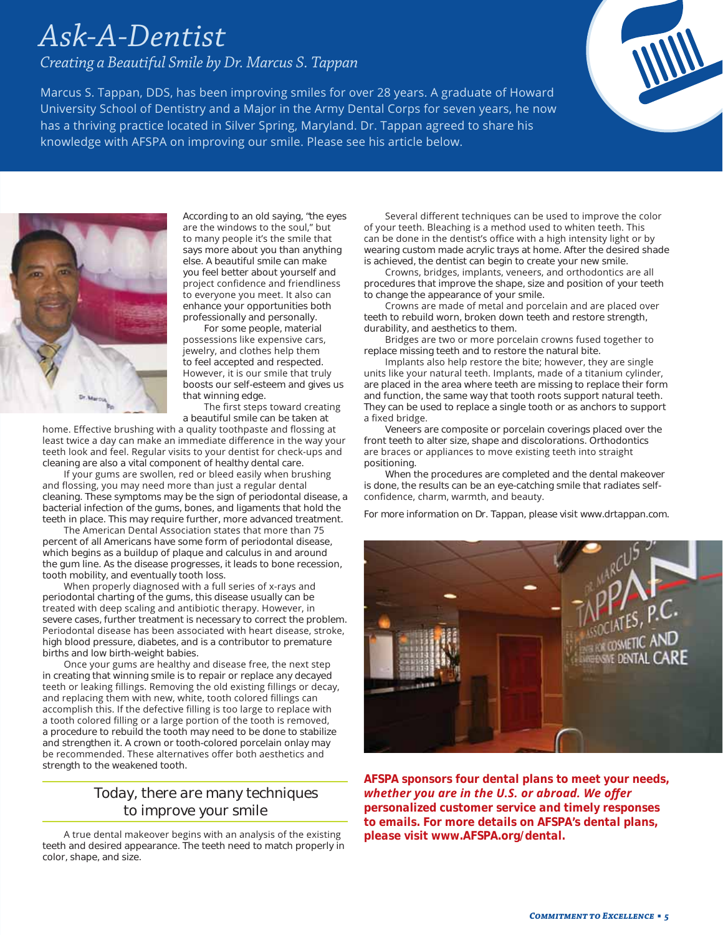# *Ask-A-Dentist*

*Creating a Beautiful Smile by Dr. Marcus S. Tappan*

Marcus S. Tappan, DDS, has been improving smiles for over 28 years. A graduate of Howard University School of Dentistry and a Major in the Army Dental Corps for seven years, he now has a thriving practice located in Silver Spring, Maryland. Dr. Tappan agreed to share his knowledge with AFSPA on improving our smile. Please see his article below.





According to an old saying, "the eyes are the windows to the soul," but to many people it's the smile that says more about you than anything else. A beautiful smile can make you feel better about yourself and project confidence and friendliness to everyone you meet. It also can enhance your opportunities both professionally and personally.

For some people, material possessions like expensive cars, jewelry, and clothes help them to feel accepted and respected. However, it is our smile that truly boosts our self-esteem and gives us that winning edge. The first steps toward creating

a beautiful smile can be taken at

home. Effective brushing with a quality toothpaste and flossing at least twice a day can make an immediate difference in the way your teeth look and feel. Regular visits to your dentist for check-ups and cleaning are also a vital component of healthy dental care.

If your gums are swollen, red or bleed easily when brushing and flossing, you may need more than just a regular dental cleaning. These symptoms may be the sign of periodontal disease, a bacterial infection of the gums, bones, and ligaments that hold the teeth in place. This may require further, more advanced treatment.

The American Dental Association states that more than 75 percent of all Americans have some form of periodontal disease, which begins as a buildup of plaque and calculus in and around the gum line. As the disease progresses, it leads to bone recession, tooth mobility, and eventually tooth loss.

When properly diagnosed with a full series of x-rays and periodontal charting of the gums, this disease usually can be treated with deep scaling and antibiotic therapy. However, in severe cases, further treatment is necessary to correct the problem. Periodontal disease has been associated with heart disease, stroke, high blood pressure, diabetes, and is a contributor to premature births and low birth-weight babies.

Once your gums are healthy and disease free, the next step in creating that winning smile is to repair or replace any decayed teeth or leaking fillings. Removing the old existing fillings or decay, and replacing them with new, white, tooth colored fillings can accomplish this. If the defective filling is too large to replace with a tooth colored filling or a large portion of the tooth is removed, a procedure to rebuild the tooth may need to be done to stabilize and strengthen it. A crown or tooth-colored porcelain onlay may be recommended. These alternatives offer both aesthetics and strength to the weakened tooth.

# *Today, there are many techniques to improve your smile*

A true dental makeover begins with an analysis of the existing teeth and desired appearance. The teeth need to match properly in color, shape, and size.

Several different techniques can be used to improve the color of your teeth. Bleaching is a method used to whiten teeth. This can be done in the dentist's office with a high intensity light or by wearing custom made acrylic trays at home. After the desired shade is achieved, the dentist can begin to create your new smile.

Crowns, bridges, implants, veneers, and orthodontics are all procedures that improve the shape, size and position of your teeth to change the appearance of your smile.

Crowns are made of metal and porcelain and are placed over teeth to rebuild worn, broken down teeth and restore strength, durability, and aesthetics to them.

Bridges are two or more porcelain crowns fused together to replace missing teeth and to restore the natural bite.

Implants also help restore the bite; however, they are single units like your natural teeth. Implants, made of a titanium cylinder, are placed in the area where teeth are missing to replace their form and function, the same way that tooth roots support natural teeth. They can be used to replace a single tooth or as anchors to support a fixed bridge.

Veneers are composite or porcelain coverings placed over the front teeth to alter size, shape and discolorations. Orthodontics are braces or appliances to move existing teeth into straight positioning.

When the procedures are completed and the dental makeover is done, the results can be an eye-catching smile that radiates selfconfidence, charm, warmth, and beauty.

*For more information on Dr. Tappan, please visit www.drtappan.com.*



*AFSPA sponsors four dental plans to meet your needs, Whether you are in the U.S. or abroad. We offer personalized customer service and timely responses to emails. For more details on AFSPA's dental plans, please visit www.AFSPA.org/dental.*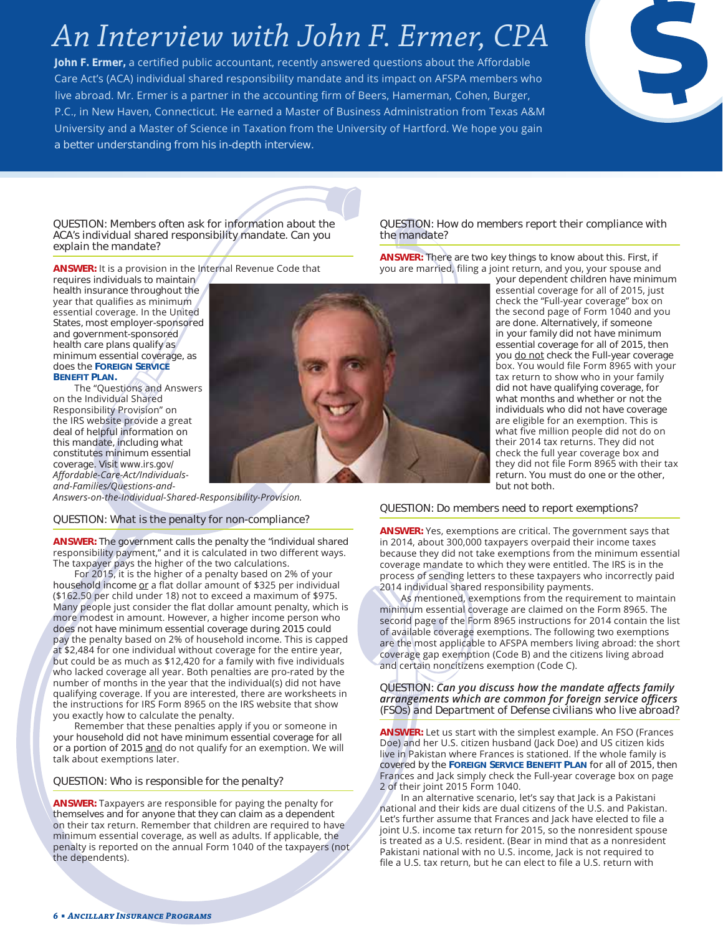# *An Interview with John F. Ermer, CPA*

*John F. Ermer,* a certified public accountant, recently answered questions about the Affordable Care Act's (ACA) individual shared responsibility mandate and its impact on AFSPA members who live abroad. Mr. Ermer is a partner in the accounting firm of Beers, Hamerman, Cohen, Burger, P.C., in New Haven, Connecticut. He earned a Master of Business Administration from Texas A&M University and a Master of Science in Taxation from the University of Hartford. We hope you gain a better understanding from his in-depth interview.



*QUESTION: Members often ask for information about the ACA's individual shared responsibility mandate. Can you explain the mandate?* 

**ANSWER:** It is a provision in the Internal Revenue Code that

requires individuals to maintain health insurance throughout the year that qualifies as minimum essential coverage. In the United States, most employer-sponsored and government-sponsored health care plans qualify as minimum essential coverage, as does the **FOREIGN SERVICE BENEFIT PLAN.**

The "Questions and Answers on the Individual Shared Responsibility Provision" on the IRS website provide a great deal of helpful information on this mandate, including what constitutes minimum essential coverage. Visit *www.irs.gov/ Affordable-Care-Act/Individuals*and-Families/Questions-and-



*QUESTION: How do members report their compliance with the mandate?*

**ANSWER:** There are two key things to know about this. First, if you are married, filing a joint return, and you, your spouse and

your dependent children have minimum essential coverage for all of 2015, just check the "Full-year coverage" box on the second page of Form 1040 and you are done. Alternatively, if someone in your family did not have minimum essential coverage for all of 2015, then you do not check the Full-year coverage box. You would file Form 8965 with your tax return to show who in your family did not have qualifying coverage, for what months and whether or not the individuals who did not have coverage are eligible for an exemption. This is what five million people did not do on their 2014 tax returns. They did not check the full year coverage box and they did not file Form 8965 with their tax return. You must do one or the other, but not both.

Answers-on-the-Individual-Shared-Responsibility-Provision.

#### *QUESTION: What is the penalty for non-compliance?*

**ANSWER:** The government calls the penalty the "individual shared responsibility payment," and it is calculated in two different ways. The taxpayer pays the higher of the two calculations.

For 2015, it is the higher of a penalty based on 2% of your household income or a flat dollar amount of \$325 per individual (\$162.50 per child under 18) not to exceed a maximum of \$975. Many people just consider the flat dollar amount penalty, which is more modest in amount. However, a higher income person who does not have minimum essential coverage during 2015 could pay the penalty based on 2% of household income. This is capped at \$2,484 for one individual without coverage for the entire year, but could be as much as \$12,420 for a family with five individuals who lacked coverage all year. Both penalties are pro-rated by the number of months in the year that the individual(s) did not have qualifying coverage. If you are interested, there are worksheets in the instructions for IRS Form 8965 on the IRS website that show you exactly how to calculate the penalty.

Remember that these penalties apply if you or someone in your household did not have minimum essential coverage for all or a portion of 2015 and do not qualify for an exemption. We will talk about exemptions later.

#### *QUESTION: Who is responsible for the penalty?*

**ANSWER:** Taxpayers are responsible for paying the penalty for themselves and for anyone that they can claim as a dependent on their tax return. Remember that children are required to have minimum essential coverage, as well as adults. If applicable, the penalty is reported on the annual Form 1040 of the taxpayers (not the dependents).

#### *QUESTION: Do members need to report exemptions?*

**ANSWER:** Yes, exemptions are critical. The government says that in 2014, about 300,000 taxpayers overpaid their income taxes because they did not take exemptions from the minimum essential coverage mandate to which they were entitled. The IRS is in the process of sending letters to these taxpayers who incorrectly paid 2014 individual shared responsibility payments.

As mentioned, exemptions from the requirement to maintain minimum essential coverage are claimed on the Form 8965. The second page of the Form 8965 instructions for 2014 contain the list of available coverage exemptions. The following two exemptions are the most applicable to AFSPA members living abroad: the short coverage gap exemption (Code B) and the citizens living abroad and certain noncitizens exemption (Code C).

#### *QUESTION:* Can you discuss how the mandate affects family arrangements which are common for foreign service officers *(FSOs) and Department of Defense civilians who live abroad?*

**ANSWER:** Let us start with the simplest example. An FSO (Frances Doe) and her U.S. citizen husband (Jack Doe) and US citizen kids live in Pakistan where Frances is stationed. If the whole family is covered by the **FOREIGN SERVICE BENEFIT PLAN** for all of 2015, then Frances and Jack simply check the Full-year coverage box on page 2 of their joint 2015 Form 1040.

In an alternative scenario, let's say that Jack is a Pakistani hational and their kids are dual citizens of the U.S. and Pakistan. Let's further assume that Frances and Jack have elected to file a joint U.S. income tax return for 2015, so the nonresident spouse is treated as a U.S. resident. (Bear in mind that as a nonresident Pakistani national with no U.S. income, Jack is not required to file a U.S. tax return, but he can elect to file a U.S. return with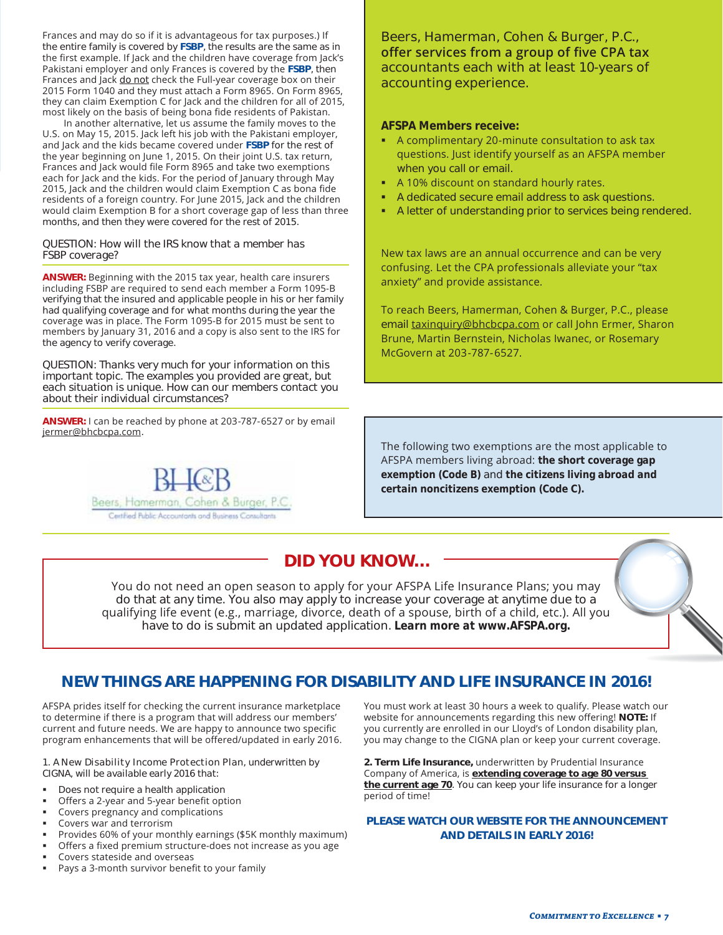Frances and may do so if it is advantageous for tax purposes.) If the entire family is covered by **FSBP**, the results are the same as in the first example. If Jack and the children have coverage from Jack's Pakistani employer and only Frances is covered by the FSBP, then Frances and Jack do not check the Full-year coverage box on their 2015 Form 1040 and they must attach a Form 8965. On Form 8965, they can claim Exemption C for Jack and the children for all of 2015, most likely on the basis of being bona fide residents of Pakistan.

In another alternative, let us assume the family moves to the U.S. on May 15, 2015. Jack left his job with the Pakistani employer, and Jack and the kids became covered under FSBP for the rest of the year beginning on June 1, 2015. On their joint U.S. tax return, Frances and Jack would file Form 8965 and take two exemptions each for Jack and the kids. For the period of January through May 2015, Jack and the children would claim Exemption C as bona fide residents of a foreign country. For June 2015, Jack and the children would claim Exemption B for a short coverage gap of less than three months, and then they were covered for the rest of 2015.

#### *QUESTION: How will the IRS know that a member has FSBP coverage?*

**ANSWER:** Beginning with the 2015 tax year, health care insurers including FSBP are required to send each member a Form 1095-B verifying that the insured and applicable people in his or her family had qualifying coverage and for what months during the year the coverage was in place. The Form 1095-B for 2015 must be sent to members by January 31, 2016 and a copy is also sent to the IRS for the agency to verify coverage.

*QUESTION: Thanks very much for your information on this important topic. The examples you provided are great, but each situation is unique. How can our members contact you about their individual circumstances?* 

**ANSWER:** I can be reached by phone at 203-787-6527 or by email jermer@bhcbcpa.com.



**Beers, Hamerman, Cohen & Burger, P.C., Refaure 1 Given Creams and Services from a group of five CPA tax accountants each with at least 10-years of accounting experience.**

#### *AFSPA Members receive:*

- $\blacksquare$  A complimentary 20-minute consultation to ask tax questions. Just identify yourself as an AFSPA member when you call or email.
- A 10% discount on standard hourly rates.
- A dedicated secure email address to ask questions.
- A letter of understanding prior to services being rendered.

New tax laws are an annual occurrence and can be very confusing. Let the CPA professionals alleviate your "tax anxiety" and provide assistance.

To reach Beers, Hamerman, Cohen & Burger, P.C., please email taxinquiry@bhcbcpa.com or call John Ermer, Sharon Brune, Martin Bernstein, Nicholas Iwanec, or Rosemary McGovern at 203-787-6527.

The following two exemptions are the most applicable to AFSPA members living abroad: the short coverage gap *exemption (Code B)* and *the citizens living abroad and certain noncitizens exemption (Code C).*

# **DID YOU KNOW…**

You do not need an open season to apply for your AFSPA Life Insurance Plans; you may do that at any time. You also may apply to increase your coverage at anytime due to a qualifying life event (e.g., marriage, divorce, death of a spouse, birth of a child, etc.). All you have to do is submit an updated application. *Learn more at www.AFSPA.org.*

### **NEW THINGS ARE HAPPENING FOR DISABILITY AND LIFE INSURANCE IN 2016!**

AFSPA prides itself for checking the current insurance marketplace to determine if there is a program that will address our members' current and future needs. We are happy to announce two specific program enhancements that will be offered/updated in early 2016.

#### *1. A New Disability Income Protection Plan, underwritten by CIGNA, will be available early 2016 that:*

- Does not require a health application
- Offers a 2-year and 5-year benefit option
- Covers pregnancy and complications
- Covers war and terrorism
- Provides 60% of your monthly earnings (\$5K monthly maximum)
- Offers a fixed premium structure-does not increase as you age
- Covers stateside and overseas
- Pays a 3-month survivor benefit to your family

You must work at least 30 hours a week to qualify. Please watch our website for announcements regarding this new offering! NOTE: If you currently are enrolled in our Lloyd's of London disability plan, you may change to the CIGNA plan or keep your current coverage.

**2. Term Life Insurance,** underwritten by Prudential Insurance Company of America, is extending coverage to age 80 versus **the current age 70**. You can keep your life insurance for a longer period of time!

#### **PLEASE WATCH OUR WEBSITE FOR THE ANNOUNCEMENT AND DETAILS IN EARLY 2016!**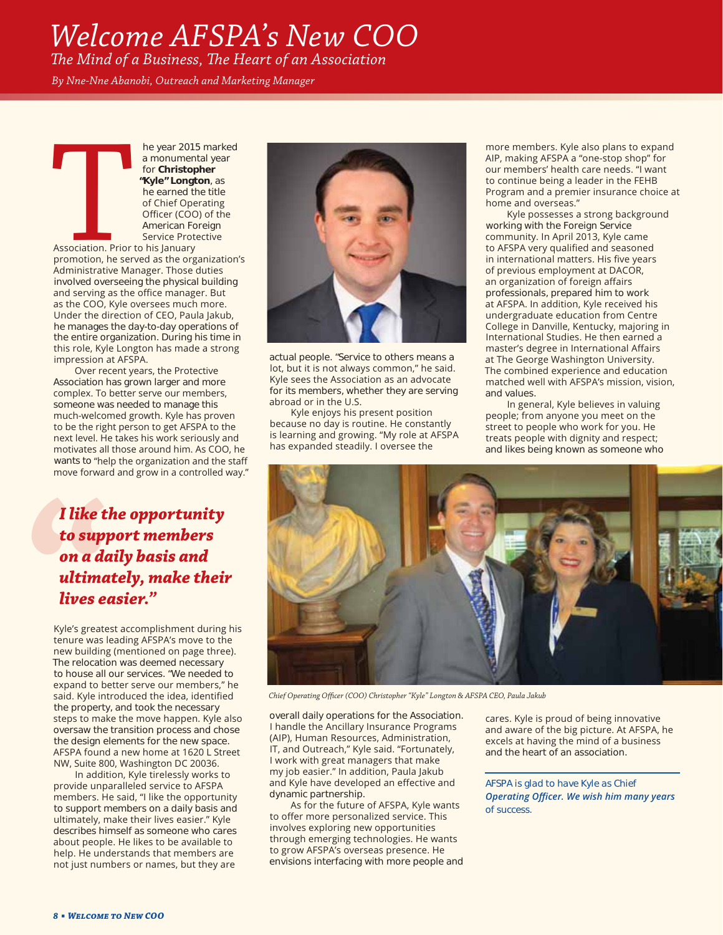# *Welcome AFSPA's New COO*

*The Mind of a Business, The Heart of an Association* 

*By Nne-Nne Abanobi, Outreach and Marketing Manager*

The year 2015 marked<br>
a monumental year<br>
for **Christopher**<br> **"Kyle" Longton**, as<br>
the earned the title<br>
of Chief Operating<br>
Officer (COO) of the<br>
American Foreign<br>
Service Protective<br>
Association. Prior to his January<br>
pro a monumental year for **Christopher "Kyle" Longton**, as he earned the title of Chief Operating Officer (COO) of the American Foreign Service Protective

Association. Prior to his January promotion, he served as the organization's Administrative Manager. Those duties involved overseeing the physical building and serving as the office manager. But as the COO, Kyle oversees much more. Under the direction of CEO, Paula lakub. he manages the day-to-day operations of the entire organization. During his time in this role, Kyle Longton has made a strong impression at AFSPA.

Over recent years, the Protective Association has grown larger and more complex. To better serve our members, someone was needed to manage this much-welcomed growth. Kyle has proven to be the right person to get AFSPA to the next level. He takes his work seriously and motivates all those around him. As COO, he wants to "help the organization and the staff move forward and grow in a controlled way."

*I like the opportunity to support members on a daily basis and ultimately, make their lives easier."*

Kyle's greatest accomplishment during his tenure was leading AFSPA's move to the new building (mentioned on page three). The relocation was deemed necessary to house all our services. "We needed to expand to better serve our members," he said. Kyle introduced the idea, identified the property, and took the necessary steps to make the move happen. Kyle also oversaw the transition process and chose the design elements for the new space. AFSPA found a new home at 1620 L Street NW, Suite 800, Washington DC 20036.

In addition, Kyle tirelessly works to provide unparalleled service to AFSPA members. He said, "I like the opportunity to support members on a daily basis and ultimately, make their lives easier." Kyle describes himself as someone who cares about people. He likes to be available to help. He understands that members are not just numbers or names, but they are



actual people. "Service to others means a lot, but it is not always common," he said. Kyle sees the Association as an advocate for its members, whether they are serving abroad or in the U.S.

Kyle enjoys his present position because no day is routine. He constantly is learning and growing. "My role at AFSPA has expanded steadily. I oversee the

more members. Kyle also plans to expand AIP, making AFSPA a "one-stop shop" for our members' health care needs. "I want to continue being a leader in the FEHB Program and a premier insurance choice at home and overseas."

Kyle possesses a strong background working with the Foreign Service community. In April 2013, Kyle came to AFSPA very qualified and seasoned in international matters. His five years of previous employment at DACOR, an organization of foreign affairs professionals, prepared him to work at AFSPA. In addition, Kyle received his undergraduate education from Centre College in Danville, Kentucky, majoring in International Studies. He then earned a master's degree in International Affairs at The George Washington University. The combined experience and education matched well with AFSPA's mission, vision, and values.

In general, Kyle believes in valuing people; from anyone you meet on the street to people who work for you. He treats people with dignity and respect; and likes being known as someone who



*Chief Operating Officer (COO) Christopher "Kyle" Longton & AFSPA CEO, Paula Jakub*

overall daily operations for the Association. I handle the Ancillary Insurance Programs (AIP), Human Resources, Administration, IT, and Outreach," Kyle said. "Fortunately, I work with great managers that make my job easier." In addition, Paula Jakub and Kyle have developed an effective and dynamic partnership.

As for the future of AFSPA, Kyle wants to offer more personalized service. This involves exploring new opportunities through emerging technologies. He wants to grow AFSPA's overseas presence. He envisions interfacing with more people and

cares. Kyle is proud of being innovative and aware of the big picture. At AFSPA, he excels at having the mind of a business and the heart of an association.

*AFSPA is glad to have Kyle as Chief*  **Operating Officer. We wish him many years** *of success.*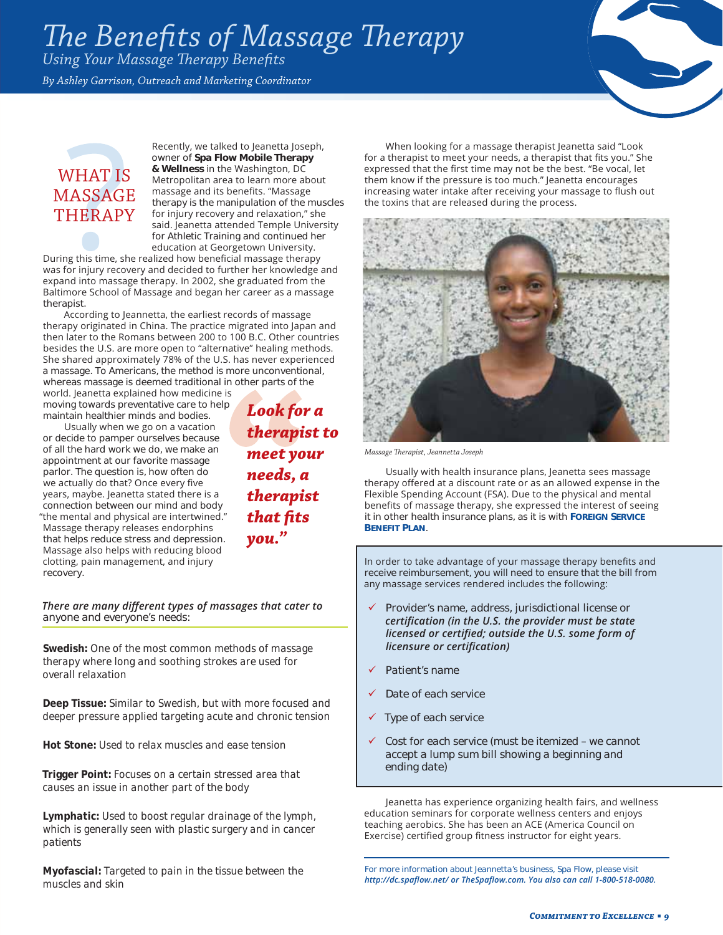# *The Benefits of Massage Therapy*

*Using Your Massage Therapy Benefits* 

*By Ashley Garrison, Outreach and Marketing Coordinator*



# WHAT IS MASSAGE **THERAPY**

Recently, we talked to leanetta loseph, owner of **Spa Flow Mobile Therapy**  & Wellness in the Washington, DC Metropolitan area to learn more about massage and its benefits. "Massage therapy is the manipulation of the muscles for injury recovery and relaxation," she said. Jeanetta attended Temple University for Athletic Training and continued her education at Georgetown University.

During this time, she realized how beneficial massage therapy was for injury recovery and decided to further her knowledge and expand into massage therapy. In 2002, she graduated from the Baltimore School of Massage and began her career as a massage therapist.

According to Jeannetta, the earliest records of massage therapy originated in China. The practice migrated into Japan and then later to the Romans between 200 to 100 B.C. Other countries besides the U.S. are more open to "alternative" healing methods. She shared approximately 78% of the U.S. has never experienced a massage. To Americans, the method is more unconventional, whereas massage is deemed traditional in other parts of the world. Jeanetta explained how medicine is

moving towards preventative care to help maintain healthier minds and bodies.

Usually when we go on a vacation or decide to pamper ourselves because of all the hard work we do, we make an appointment at our favorite massage parlor. The question is, how often do we actually do that? Once every five years, maybe. Jeanetta stated there is a connection between our mind and body "the mental and physical are intertwined." Massage therapy releases endorphins that helps reduce stress and depression. Massage also helps with reducing blood clotting, pain management, and injury recovery.

*Look for a therapist to meet your needs, a therapist that fits you."*

#### *There are many different types of massages that cater to anyone and everyone's needs:*

*Swedish: One of the most common methods of massage therapy where long and soothing strokes are used for overall relaxation*

*Deep Tissue: Similar to Swedish, but with more focused and deeper pressure applied targeting acute and chronic tension*

*Hot Stone: Used to relax muscles and ease tension*

*Trigger Point: Focuses on a certain stressed area that causes an issue in another part of the body*

*Lymphatic: Used to boost regular drainage of the lymph, which is generally seen with plastic surgery and in cancer patients*

*Myofascial: Targeted to pain in the tissue between the muscles and skin*

When looking for a massage therapist Jeanetta said "Look for a therapist to meet your needs, a therapist that fits you." She expressed that the first time may not be the best. "Be vocal, let them know if the pressure is too much." Jeanetta encourages increasing water intake after receiving your massage to flush out the toxins that are released during the process.



*Massage Therapist, Jeannetta Joseph*

Usually with health insurance plans, Jeanetta sees massage therapy offered at a discount rate or as an allowed expense in the Flexible Spending Account (FSA). Due to the physical and mental benefits of massage therapy, she expressed the interest of seeing it in other health insurance plans, as it is with **FOREIGN SERVICE BENEFIT PLAN**.

In order to take advantage of your massage therapy benefits and receive reimbursement, you will need to ensure that the bill from any massage services rendered includes the following:

- 9 *Provider's name, address, jurisdictional license or*  certification (in the U.S. the provider must be state *licensed or certified; outside the U.S. some form of Iicensure or certification)*
- 9 *Patient's name*
- **Date of each service**
- **Type of each service**
- 9 *Cost for each service (must be itemized we cannot accept a lump sum bill showing a beginning and ending date)*

Jeanetta has experience organizing health fairs, and wellness education seminars for corporate wellness centers and eniovs teaching aerobics. She has been an ACE (America Council on Exercise) certified group fitness instructor for eight years.

*For more information about Jeannetta's business, Spa Flow, please visit*  http://dc.spaflow.net/ or TheSpaflow.com. You also can call 1-800-518-0080.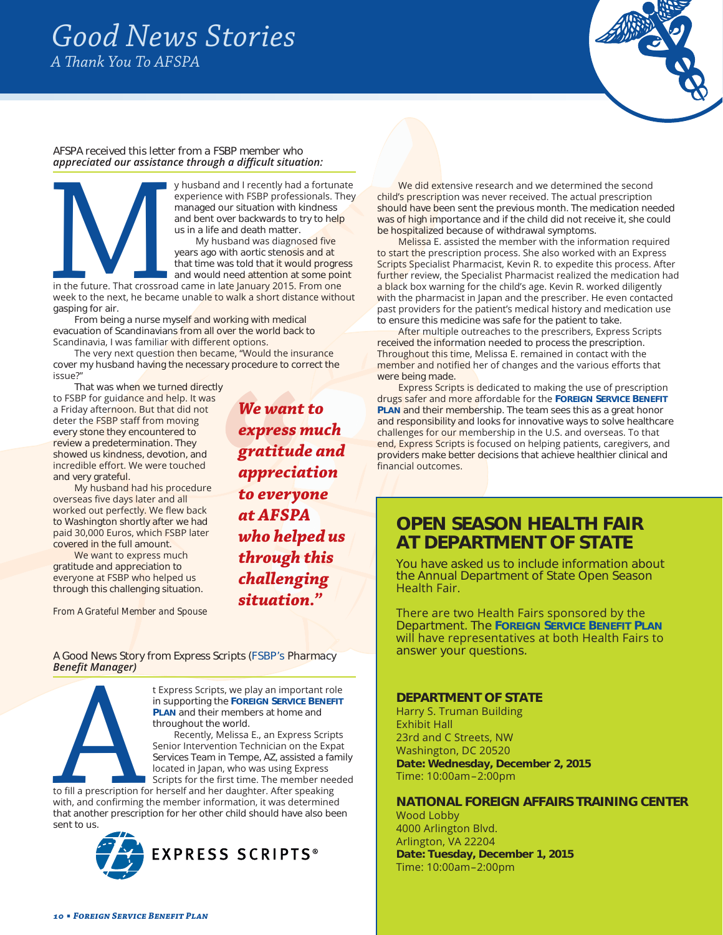# *Good News Stories A Thank You To AFSPA*



#### *AFSPA received this letter from a FSBP member who*  appreciated our assistance through a difficult situation:



experience with FSBP professionals. They managed our situation with kindness and bent over backwards to try to help us in a life and death matter. My husband was diagnosed five

years ago with aortic stenosis and at that time was told that it would progress and would need attention at some point

in the future. That crossroad came in late January 2015. From one week to the next, he became unable to walk a short distance without gasping for air.

From being a nurse myself and working with medical evacuation of Scandinavians from all over the world back to Scandinavia, I was familiar with different options.

The very next question then became, "Would the insurance cover my husband having the necessary procedure to correct the issue?"

That was when we turned directly

to FSBP for guidance and help. It was a Friday afternoon. But that did not deter the **FSBP** staff from moving every stone they encountered to review a predetermination. They showed us kindness, devotion, and incredible effort. We were touched and very grateful.

My husband had his procedure overseas five days later and all worked out perfectly. We flew back to Washington shortly after we had paid 30,000 Euros, which FSBP later covered in the full amount.

We want to express much gratitude and appreciation to everyone at FSBP who helped us through this challenging situation.

*From A Grateful Member and Spouse*

*We want to express much gratitude and appreciation to everyone at AFSPA who helped us through this challenging situation."* 

*A Good News Story from Express Scripts (FSBP's Pharmacy*  **Benefit Manager)** 



in supporting the **FOREIGN SERVICE BENEFIT PLAN** and their members at home and throughout the world.

THE SURFAM SERVICE SURFAM AND THE SURFAM AND THE SURFAM AND THE PLAN and their members at home and throughout the world.<br>
Recently, Melissa E., an Express Scripts<br>
Services Team in Tempe, AZ, assisted a family located in J Recently, Melissa E., an Express Scripts Senior Intervention Technician on the Expat Services Team in Tempe, AZ, assisted a family located in Japan, who was using Express Scripts for the first time. The member needed

to fill a prescription for herself and her daughter. After speaking with, and confirming the member information, it was determined that another prescription for her other child should have also been sent to us.



We did extensive research and we determined the second child's prescription was never received. The actual prescription should have been sent the previous month. The medication needed was of high importance and if the child did not receive it, she could be hospitalized because of withdrawal symptoms.

Melissa E. assisted the member with the information required to start the prescription process. She also worked with an Express Scripts Specialist Pharmacist, Kevin R. to expedite this process. After further review, the Specialist Pharmacist realized the medication had a black box warning for the child's age. Kevin R. worked diligently with the pharmacist in Japan and the prescriber. He even contacted past providers for the patient's medical history and medication use to ensure this medicine was safe for the patient to take.

After multiple outreaches to the prescribers, Express Scripts received the information needed to process the prescription. Throughout this time, Melissa E. remained in contact with the member and notified her of changes and the various efforts that were being made.

Express Scripts is dedicated to making the use of prescription drugs safer and more affordable for the FOREIGN SERVICE BENEFIT **PLAN** and their membership. The team sees this as a great honor and responsibility and looks for innovative ways to solve healthcare challenges for our membership in the U.S. and overseas. To that end, Express Scripts is focused on helping patients, caregivers, and providers make better decisions that achieve healthier clinical and financial outcomes.

# **OPEN SEASON HEALTH FAIR AT DEPARTMENT OF STATE**

You have asked us to include information about the Annual Department of State Open Season Health Fair.

There are two Health Fairs sponsored by the Department. The **FOREIGN SERVICE BENEFIT PLAN** will have representatives at both Health Fairs to answer your questions.

#### **DEPARTMENT OF STATE**

Harry S. Truman Building **Exhibit Hall** 23rd and C Streets, NW Washington, DC 20520 **Date: Wednesday, December 2, 2015** Time: 10:00am-2:00pm

#### **NATIONAL FOREIGN AFFAIRS TRAINING CENTER**

Wood Lobby 4000 Arlington Blvd. Arlington, VA 22204 **Date: Tuesday, December 1, 2015** Time: 10:00am-2:00pm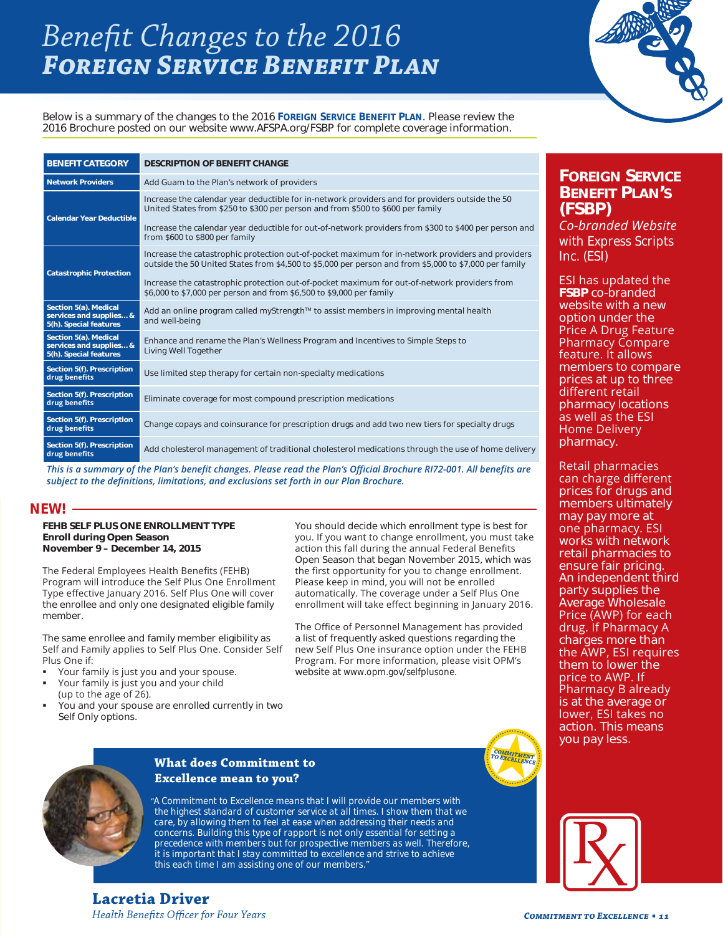# *Benefit Changes to the 2016 Foreign Service Benefit Plan*



*Below is a summary of the changes to the 2016 FOREIGN SERVICE BENEFIT PLAN. Please review the 2016 Brochure posted on our website www.AFSPA.org/FSBP for complete coverage information.* 

| <b>BENEFIT CATEGORY</b>                                                    | <b>DESCRIPTION OF BENEFIT CHANGE</b>                                                                                                                                                                        |  |  |  |
|----------------------------------------------------------------------------|-------------------------------------------------------------------------------------------------------------------------------------------------------------------------------------------------------------|--|--|--|
| <b>Network Providers</b>                                                   | Add Guam to the Plan's network of providers                                                                                                                                                                 |  |  |  |
| <b>Calendar Year Deductible</b>                                            | Increase the calendar year deductible for in-network providers and for providers outside the 50<br>United States from \$250 to \$300 per person and from \$500 to \$600 per family                          |  |  |  |
|                                                                            | Increase the calendar year deductible for out-of-network providers from \$300 to \$400 per person and<br>from \$600 to \$800 per family                                                                     |  |  |  |
| <b>Catastrophic Protection</b>                                             | Increase the catastrophic protection out-of-pocket maximum for in-network providers and providers<br>outside the 50 United States from \$4,500 to \$5,000 per person and from \$5,000 to \$7,000 per family |  |  |  |
|                                                                            | Increase the catastrophic protection out-of-pocket maximum for out-of-network providers from<br>\$6,000 to \$7,000 per person and from \$6,500 to \$9,000 per family                                        |  |  |  |
| Section 5(a). Medical<br>services and supplies &<br>5(h). Special features | Add an online program called myStrength™ to assist members in improving mental health<br>and well-being                                                                                                     |  |  |  |
| Section 5(a). Medical<br>services and supplies &<br>5(h). Special features | Enhance and rename the Plan's Wellness Program and Incentives to Simple Steps to<br>Living Well Together                                                                                                    |  |  |  |
| Section 5(f). Prescription<br>drug benefits                                | Use limited step therapy for certain non-specialty medications                                                                                                                                              |  |  |  |
| Section 5(f). Prescription<br>drug benefits                                | Eliminate coverage for most compound prescription medications                                                                                                                                               |  |  |  |
| Section 5(f). Prescription<br>drug benefits                                | Change copays and coinsurance for prescription drugs and add two new tiers for specialty drugs                                                                                                              |  |  |  |
| Section 5(f). Prescription<br>drug benefits                                | Add cholesterol management of traditional cholesterol medications through the use of home delivery                                                                                                          |  |  |  |

*This is a summary of the Plan's benefit changes. Please read the Plan's Official Brochure RI72-001. All benefits are* subject to the definitions, limitations, and exclusions set forth in our Plan Brochure.

#### *NEW!*

#### **FEHB SELF PLUS ONE ENROLLMENT TYPE Enroll during Open Season November 9 – December 14, 2015**

The Federal Employees Health Benefits (FEHB) Program will introduce the Self Plus One Enrollment Type effective January 2016. Self Plus One will cover the enrollee and only one designated eligible family member.

The same enrollee and family member eligibility as Self and Family applies to Self Plus One. Consider Self Plus One if:

- Your family is just you and your spouse.
- Your family is just you and your child (up to the age of 26).
- You and your spouse are enrolled currently in two Self Only options.

You should decide which enrollment type is best for you. If you want to change enrollment, you must take action this fall during the annual Federal Benefits Open Season that began November 2015, which was the first opportunity for you to change enrollment. Please keep in mind, you will not be enrolled automatically. The coverage under a Self Plus One enrollment will take effect beginning in January 2016.

The Office of Personnel Management has provided a list of frequently asked questions regarding the new Self Plus One insurance option under the FEHB Program. For more information, please visit OPM's website at *www.opm.gov/selfplusone*.



× ٠

### **FOREIGN SERVICE BENEFIT PLAN'S (FSBP)**

Co-branded Website *with Express Scripts Inc. (ESI)*

ESI has updated the **FSBP** co-branded website with a new option under the Price A Drug Feature Pharmacy Compare feature. It allows members to compare prices at up to three different retail pharmacy locations as well as the ESI Home Delivery pharmacy.

Retail pharmacies can charge different prices for drugs and members ultimately may pay more at one pharmacy. ESI works with network retail pharmacies to ensure fair pricing. An independent third party supplies the Average Wholesale Price (AWP) for each drug. If Pharmacy A charges more than the AWP, ESI requires them to lower the price to AWP. If Pharmacy B already is at the average or lower, ESI takes no action. This means you pay less.



#### **What does Commitment to Excellence mean to you?**

*"A Commitment to Excellence means that I will provide our members with the highest standard of customer service at all times. I show them that we care, by allowing them to feel at ease when addressing their needs and concerns. Building this type of rapport is not only essential for setting a precedence with members but for prospective members as well. Therefore, it is important that I stay committed to excellence and strive to achieve this each time I am assisting one of our members."*

**Lacretia Driver** *Health Benefits Officer for Four Years*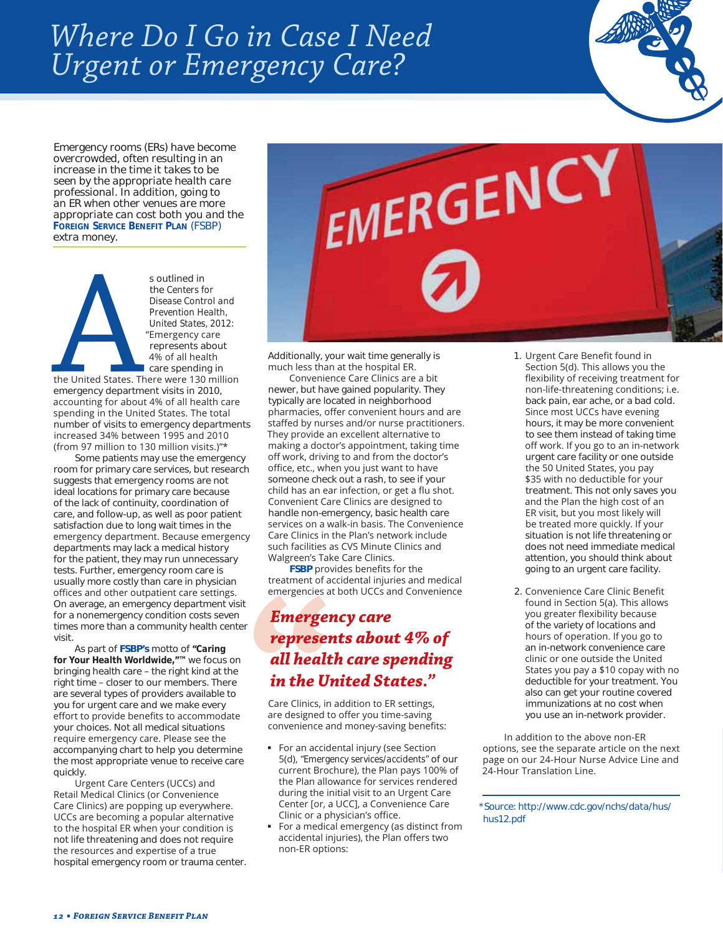# *Where Do I Go in Case I Need Urgent or Emergency Care?*

*Emergency rooms (ERs) have become overcrowded, often resulting in an increase in the time it takes to be seen by the appropriate health care professional. In addition, going to an ER when other venues are more appropriate can cost both you and the FOREIGN SERVICE BENEFIT PLAN (FSBP) extra money.* 

s outlined in<br>the *Centers for<br>Disease Conti*<br>*Prevention He*<br>*United States,*<br>"Emergency conting the United States. There were 130<br>emergency department visits in 20<br>accounting for about 4% of all hea the *Centers for Disease Control and Prevention Health, United States, 2012:* "Emergency care represents about 4% of all health care spending in the United States. There were 130 million emergency department visits in 2010, accounting for about 4% of all health care spending in the United States. The total number of visits to emergency departments increased 34% between 1995 and 2010 (from 97 million to 130 million visits.)"\*

Some patients may use the emergency room for primary care services, but research suggests that emergency rooms are not ideal locations for primary care because of the lack of continuity, coordination of care, and follow-up, as well as poor patient satisfaction due to long wait times in the emergency department. Because emergency departments may lack a medical history for the patient, they may run unnecessary tests. Further, emergency room care is usually more costly than care in physician offices and other outpatient care settings. On average, an emergency department visit for a nonemergency condition costs seven times more than a community health center visit.

As part of **FSBP's** motto of *"Caring for Your Health Worldwide,"™* we focus on bringing health care – the right kind at the right time – closer to our members. There are several types of providers available to you for urgent care and we make every effort to provide benefits to accommodate your choices. Not all medical situations require emergency care. Please see the accompanying chart to help you determine the most appropriate venue to receive care quickly.

Urgent Care Centers (UCCs) and Retail Medical Clinics (or Convenience Care Clinics) are popping up everywhere. UCCs are becoming a popular alternative to the hospital ER when your condition is not life threatening and does not require the resources and expertise of a true hospital emergency room or trauma center.



Additionally, your wait time generally is much less than at the hospital ER.

Convenience Care Clinics are a bit newer, but have gained popularity. They typically are located in neighborhood pharmacies, offer convenient hours and are staffed by nurses and/or nurse practitioners. They provide an excellent alternative to making a doctor's appointment, taking time off work, driving to and from the doctor's office, etc., when you just want to have someone check out a rash, to see if your child has an ear infection, or get a flu shot. Convenient Care Clinics are designed to handle non-emergency, basic health care services on a walk-in basis. The Convenience Care Clinics in the Plan's network include such facilities as CVS Minute Clinics and Walgreen's Take Care Clinics.

**FSBP** provides benefits for the treatment of accidental injuries and medical emergencies at both UCCs and Convenience

# *Emergency care represents about 4% of all health care spending in the United States."*

Care Clinics, in addition to ER settings, are designed to offer you time-saving convenience and money-saving benefits:

- For an accidental injury (see Section G*"Emergency services/accidents"* of our current Brochure), the Plan pays 100% of the Plan allowance for services rendered during the initial visit to an Urgent Care Center [or, a UCC], a Convenience Care Clinic or a physician's office.
- For a medical emergency (as distinct from accidental injuries), the Plan offers two non-ER options:
- 1. Urgent Care Benefit found in Section 5(d). This allows you the flexibility of receiving treatment for non-life-threatening conditions; i.e. back pain, ear ache, or a bad cold. Since most UCCs have evening hours, it may be more convenient to see them instead of taking time off work. If you go to an in-network urgent care facility or one outside the 50 United States, you pay \$35 with no deductible for your treatment. This not only saves you and the Plan the high cost of an ER visit, but you most likely will be treated more quickly. If your situation is not life threatening or does not need immediate medical attention, you should think about going to an urgent care facility.
- 2. Convenience Care Clinic Benefit found in Section 5(a). This allows you greater flexibility because of the variety of locations and hours of operation. If you go to an in-network convenience care clinic or one outside the United States you pay a  $$10$  copay with no deductible for your treatment. You also can get your routine covered immunizations at no cost when you use an in-network provider.

In addition to the above non-ER options, see the separate article on the next page on our 24-Hour Nurse Advice Line and 24-Hour Translation Line.

*\*Source: http://www.cdc.gov/nchs/data/hus/ hus12.pdf*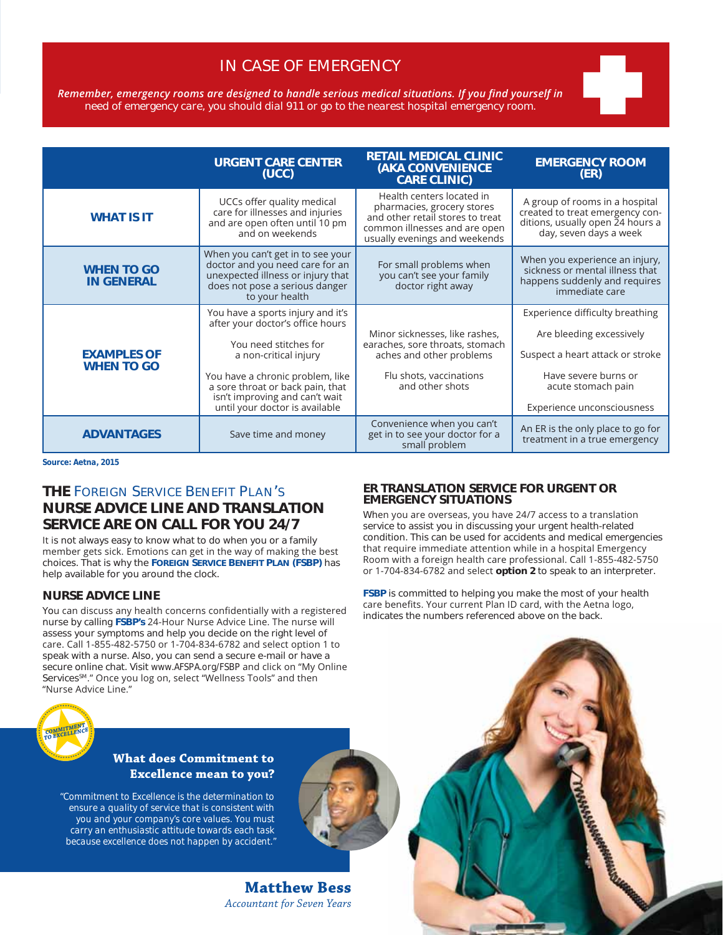# *IN CASE OF EMERGENCY*

Remember, emergency rooms are designed to handle serious medical situations. If you find yourself in *need of emergency care, you should dial 911 or go to the nearest hospital emergency room.*

|                                         | <b>URGENT CARE CENTER</b><br>(UCC)                                                                                                                                                                                                                                                  | <b>RETAIL MEDICAL CLINIC</b><br><b>(AKA CONVENIENCE</b><br><b>CARE CLINIC)</b>                                                              | <b>EMERGENCY ROOM</b><br>(ER)                                                                                                                                               |
|-----------------------------------------|-------------------------------------------------------------------------------------------------------------------------------------------------------------------------------------------------------------------------------------------------------------------------------------|---------------------------------------------------------------------------------------------------------------------------------------------|-----------------------------------------------------------------------------------------------------------------------------------------------------------------------------|
| <b>WHAT IS IT</b>                       | Health centers located in<br>UCCs offer quality medical<br>pharmacies, grocery stores<br>care for illnesses and injuries<br>and other retail stores to treat<br>and are open often until 10 pm<br>common illnesses and are open<br>and on weekends<br>usually evenings and weekends |                                                                                                                                             | A group of rooms in a hospital<br>created to treat emergency con-<br>ditions, usually open 24 hours a<br>day, seven days a week                                             |
| <b>WHEN TO GO</b><br><b>IN GENERAL</b>  | When you can't get in to see your<br>doctor and you need care for an<br>For small problems when<br>unexpected illness or injury that<br>you can't see your family<br>does not pose a serious danger<br>doctor right away<br>to your health                                          |                                                                                                                                             | When you experience an injury,<br>sickness or mental illness that<br>happens suddenly and requires<br>immediate care                                                        |
| <b>EXAMPLES OF</b><br><b>WHEN TO GO</b> | You have a sports injury and it's<br>after your doctor's office hours<br>You need stitches for<br>a non-critical injury<br>You have a chronic problem, like<br>a sore throat or back pain, that<br>isn't improving and can't wait<br>until your doctor is available                 | Minor sicknesses, like rashes,<br>earaches, sore throats, stomach<br>aches and other problems<br>Flu shots, vaccinations<br>and other shots | Experience difficulty breathing<br>Are bleeding excessively<br>Suspect a heart attack or stroke<br>Have severe burns or<br>acute stomach pain<br>Experience unconsciousness |
| <b>ADVANTAGES</b>                       | Save time and money                                                                                                                                                                                                                                                                 | Convenience when you can't<br>get in to see your doctor for a<br>small problem                                                              | An ER is the only place to go for<br>treatment in a true emergency                                                                                                          |

*Source: Aetna, 2015*

### **THE FOREIGN SERVICE BENEFIT PLAN'S NURSE ADVICE LINE AND TRANSLATION SERVICE ARE ON CALL FOR YOU 24/7**

It is not always easy to know what to do when you or a family member gets sick. Emotions can get in the way of making the best choices. That is why the **FOREIGN SERVICE BENEFIT PLAN (FSBP)** has help available for you around the clock.

#### **NURSE ADVICE LINE**

You can discuss any health concerns confidentially with a registered nurse by calling **FSBP's** 24-Hour Nurse Advice Line. The nurse will assess your symptoms and help you decide on the right level of care. Call 1-855-482-5750 or 1-704-834-6782 and select option 1 to speak with a nurse. Also, you can send a secure e-mail or have a secure online chat. Visit *www.AFSPA.org/FSBP* and click on "My Online Services<sup>sM</sup>." Once you log on, select "Wellness Tools" and then "Nurse Advice Line."



#### **What does Commitment to Excellence mean to you?**

*"Commitment to Excellence is the determination to ensure a quality of service that is consistent with you and your company's core values. You must carry an enthusiastic attitude towards each task because excellence does not happen by accident."*

> **Matthew Bess**  *Accountant for Seven Years*

#### **ER TRANSLATION SERVICE FOR URGENT OR EMERGENCY SITUATIONS**

When you are overseas, you have 24/7 access to a translation service to assist you in discussing your urgent health-related condition. This can be used for accidents and medical emergencies that require immediate attention while in a hospital Emergency Room with a foreign health care professional. Call 1-855-482-5750 or 1-704-834-6782 and select option 2 to speak to an interpreter.

**FSBP** is committed to helping you make the most of your health care benefits. Your current Plan ID card, with the Aetna logo, indicates the numbers referenced above on the back.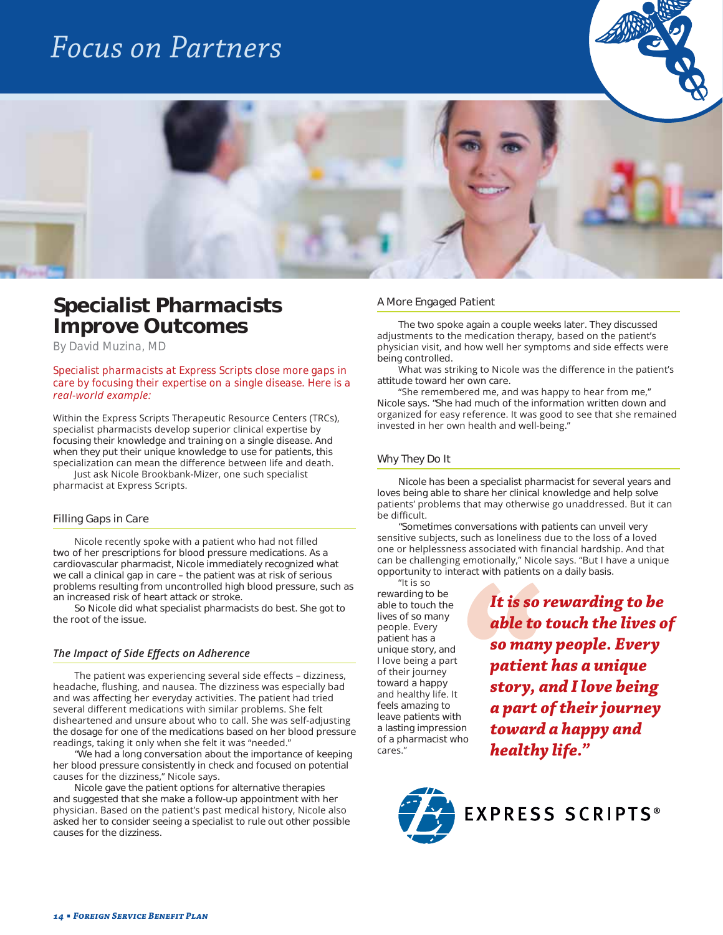# *Focus on Partners*





# **Specialist Pharmacists Improve Outcomes**

*By David Muzina, MD* 

*Specialist pharmacists at Express Scripts close more gaps in care by focusing their expertise on a single disease. Here is a*  real-world example:

Within the Express Scripts Therapeutic Resource Centers (TRCs), specialist pharmacists develop superior clinical expertise by focusing their knowledge and training on a single disease. And when they put their unique knowledge to use for patients, this specialization can mean the difference between life and death.

Just ask Nicole Brookbank-Mizer, one such specialist pharmacist at Express Scripts.

#### *Filling Gaps in Care*

Nicole recently spoke with a patient who had not filled two of her prescriptions for blood pressure medications. As a cardiovascular pharmacist, Nicole immediately recognized what we call a clinical gap in care – the patient was at risk of serious problems resulting from uncontrolled high blood pressure, such as an increased risk of heart attack or stroke.

So Nicole did what specialist pharmacists do best. She got to the root of the issue.

#### *The Impact of Side Effects on Adherence*

The patient was experiencing several side effects - dizziness, headache, flushing, and nausea. The dizziness was especially bad and was affecting her everyday activities. The patient had tried several different medications with similar problems. She felt disheartened and unsure about who to call. She was self-adjusting the dosage for one of the medications based on her blood pressure readings, taking it only when she felt it was "needed."

"We had a long conversation about the importance of keeping her blood pressure consistently in check and focused on potential causes for the dizziness," Nicole says.

Nicole gave the patient options for alternative therapies and suggested that she make a follow-up appointment with her physician. Based on the patient's past medical history, Nicole also asked her to consider seeing a specialist to rule out other possible causes for the dizziness.

#### *A More Engaged Patient*

The two spoke again a couple weeks later. They discussed adjustments to the medication therapy, based on the patient's physician visit, and how well her symptoms and side effects were being controlled.

What was striking to Nicole was the difference in the patient's attitude toward her own care.

"She remembered me, and was happy to hear from me," Nicole says. "She had much of the information written down and organized for easy reference. It was good to see that she remained invested in her own health and well-being."

#### *Why They Do It*

Nicole has been a specialist pharmacist for several years and loves being able to share her clinical knowledge and help solve patients' problems that may otherwise go unaddressed. But it can be difficult.

"Sometimes conversations with patients can unveil very sensitive subjects, such as loneliness due to the loss of a loved one or helplessness associated with financial hardship. And that can be challenging emotionally," Nicole says. "But I have a unique opportunity to interact with patients on a daily basis.

"It is so rewarding to be able to touch the lives of so many people. Every patient has a unique story, and I love being a part of their journey toward a happy and healthy life. It feels amazing to leave patients with a lasting impression of a pharmacist who cares."

*It is so rewarding to be able to touch the lives of so many people. Every patient has a unique story, and I love being a part of their journey toward a happy and healthy life."*

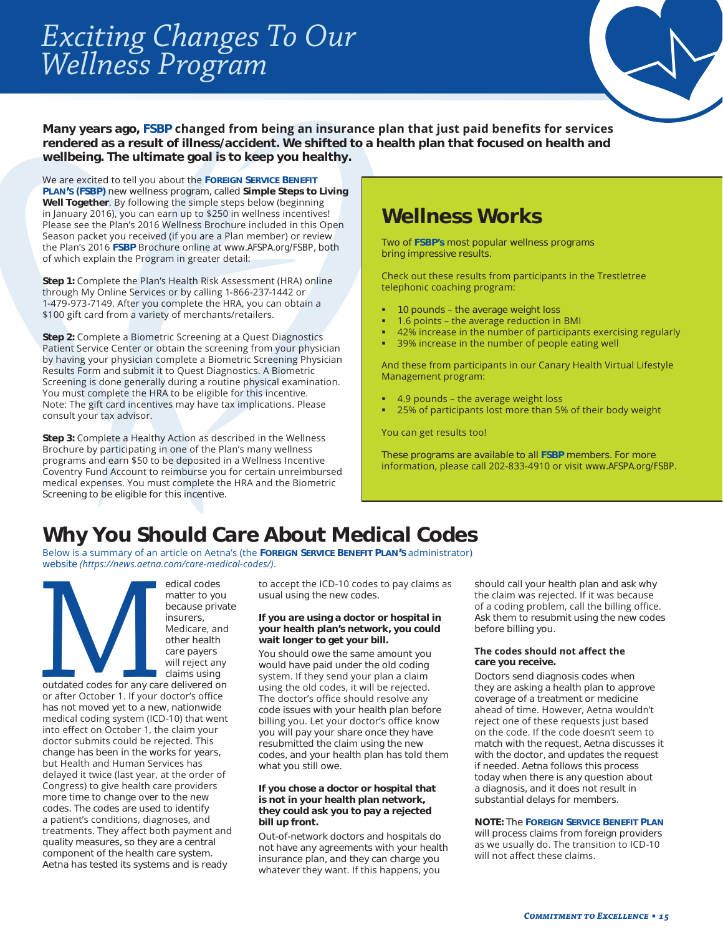# *Exciting Changes To Our Wellness Program*



Many years ago, FSBP changed from being an insurance plan that just paid benefits for services **rendered as a result of illness/accident. We shifted to a health plan that focused on health and wellbeing. The ultimate goal is to keep you healthy.** 

We are excited to tell you about the FOREIGN SERVICE BENEFIT **PLAN'S (FSBP)** new wellness program, called **Simple Steps to Living**  Well Together. By following the simple steps below (beginning in January 2016), you can earn up to \$250 in wellness incentives! Please see the Plan's 2016 Wellness Brochure included in this Open Season packet you received (if you are a Plan member) or review the Plan's 2016 FSBP Brochure online at www.AFSPA.org/FSBP, both of which explain the Program in greater detail:

Step 1: Complete the Plan's Health Risk Assessment (HRA) online through My Online Services or by calling 1-866-237-1442 or 1-479-973-7149. After you complete the HRA, you can obtain a \$100 gift card from a variety of merchants/retailers.

Step 2: Complete a Biometric Screening at a Quest Diagnostics Patient Service Center or obtain the screening from your physician by having your physician complete a Biometric Screening Physician Results Form and submit it to Quest Diagnostics. A Biometric Screening is done generally during a routine physical examination. You must complete the HRA to be eligible for this incentive. Note: The gift card incentives may have tax implications. Please consult your tax advisor.

**Step 3:** Complete a Healthy Action as described in the Wellness Brochure by participating in one of the Plan's many wellness programs and earn \$50 to be deposited in a Wellness Incentive Coventry Fund Account to reimburse you for certain unreimbursed medical expenses. You must complete the HRA and the Biometric Screening to be eligible for this incentive.

# **Wellness Works**

Two of **FSBP's** most popular wellness programs bring impressive results.

Check out these results from participants in the Trestletree telephonic coaching program:

- 10 pounds the average weight loss
- 1.6 points the average reduction in BMI
- 42% increase in the number of participants exercising regularly
- 39% increase in the number of people eating well

And these from participants in our Canary Health Virtual Lifestyle Management program:

- 4.9 pounds the average weight loss
- 25% of participants lost more than 5% of their body weight

You can get results too!

These programs are available to all **FSBP** members. For more information, please call 202-833-4910 or visit www.AFSPA.org/FSBP.

# **Why You Should Care About Medical Codes**

Below is a summary of an article on Aetna's (the FOREIGN SERVICE BENEFIT PLAN'S administrator) website (https://news.aetna.com/care-medical-codes/).

edical codes<br>
matter to you<br>
because priv<br>
insurers,<br>
Medicare, an<br>
other health<br>
care payers<br>
will reject am<br>
calims using<br>
or after October 1. If your doctor's office<br>
has not moved yet to a new, nationwide matter to you because private insurers, Medicare, and other health care payers will reject any claims using

outdated codes for any care delivered on or after October 1. If your doctor's office has not moved yet to a new, nationwide medical coding system (ICD-10) that went into effect on October 1, the claim your doctor submits could be rejected. This change has been in the works for years, but Health and Human Services has delayed it twice (last year, at the order of Congress) to give health care providers more time to change over to the new codes. The codes are used to identify a patient's conditions, diagnoses, and treatments. They affect both payment and quality measures, so they are a central component of the health care system. Aetna has tested its systems and is ready

to accept the ICD-10 codes to pay claims as usual using the new codes.

#### **If you are using a doctor or hospital in your health plan's network, you could wait longer to get your bill.**

You should owe the same amount you would have paid under the old coding system. If they send your plan a claim using the old codes, it will be rejected. The doctor's office should resolve any code issues with your health plan before billing you. Let your doctor's office know you will pay your share once they have resubmitted the claim using the new codes, and your health plan has told them what you still owe.

#### **If you chose a doctor or hospital that is not in your health plan network, they could ask you to pay a rejected bill up front.**

Out-of-network doctors and hospitals do not have any agreements with your health insurance plan, and they can charge you whatever they want. If this happens, you

should call your health plan and ask why the claim was rejected. If it was because of a coding problem, call the billing office. Ask them to resubmit using the new codes before billing you.

#### The codes should not affect the **care you receive.**

Doctors send diagnosis codes when they are asking a health plan to approve coverage of a treatment or medicine ahead of time. However, Aetna wouldn't reject one of these requests just based on the code. If the code doesn't seem to match with the request, Aetna discusses it with the doctor, and updates the request if needed. Aetna follows this process today when there is any question about a diagnosis, and it does not result in substantial delays for members.

#### **NOTE:** The **FOREIGN SERVICE BENEFIT PLAN**

will process claims from foreign providers as we usually do. The transition to ICD-10 will not affect these claims.